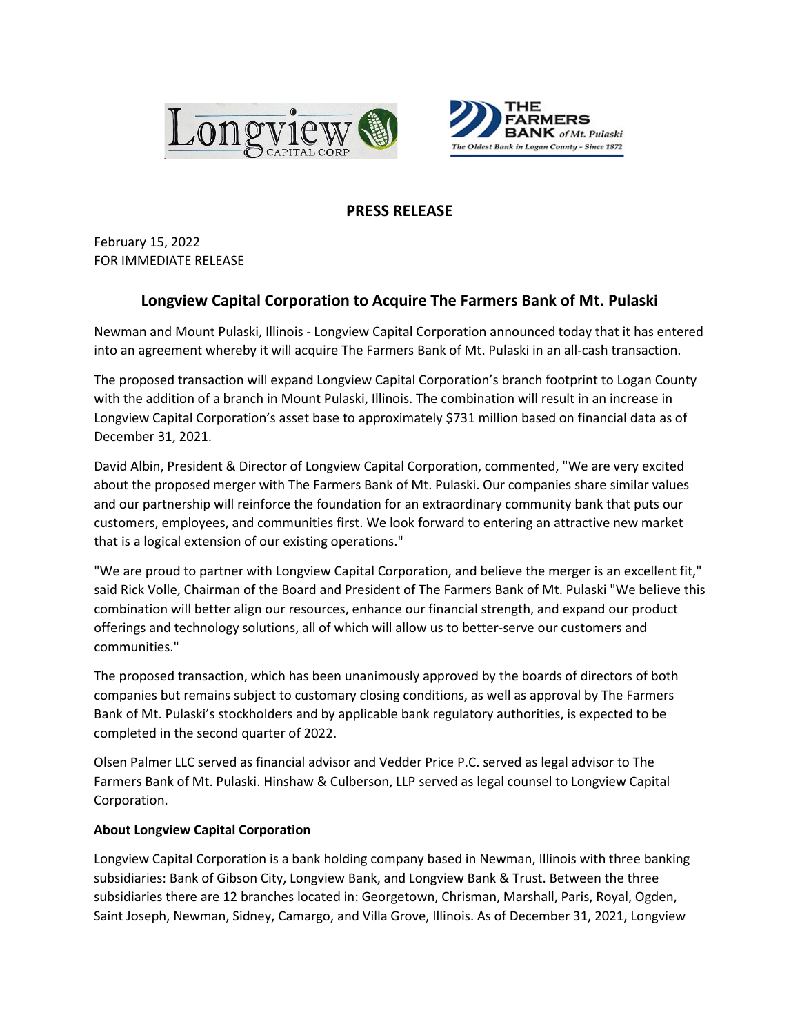



## **PRESS RELEASE**

February 15, 2022 FOR IMMEDIATE RELEASE

## **Longview Capital Corporation to Acquire The Farmers Bank of Mt. Pulaski**

Newman and Mount Pulaski, Illinois - Longview Capital Corporation announced today that it has entered into an agreement whereby it will acquire The Farmers Bank of Mt. Pulaski in an all-cash transaction.

The proposed transaction will expand Longview Capital Corporation's branch footprint to Logan County with the addition of a branch in Mount Pulaski, Illinois. The combination will result in an increase in Longview Capital Corporation's asset base to approximately \$731 million based on financial data as of December 31, 2021.

David Albin, President & Director of Longview Capital Corporation, commented, "We are very excited about the proposed merger with The Farmers Bank of Mt. Pulaski. Our companies share similar values and our partnership will reinforce the foundation for an extraordinary community bank that puts our customers, employees, and communities first. We look forward to entering an attractive new market that is a logical extension of our existing operations."

"We are proud to partner with Longview Capital Corporation, and believe the merger is an excellent fit," said Rick Volle, Chairman of the Board and President of The Farmers Bank of Mt. Pulaski "We believe this combination will better align our resources, enhance our financial strength, and expand our product offerings and technology solutions, all of which will allow us to better-serve our customers and communities."

The proposed transaction, which has been unanimously approved by the boards of directors of both companies but remains subject to customary closing conditions, as well as approval by The Farmers Bank of Mt. Pulaski's stockholders and by applicable bank regulatory authorities, is expected to be completed in the second quarter of 2022.

Olsen Palmer LLC served as financial advisor and Vedder Price P.C. served as legal advisor to The Farmers Bank of Mt. Pulaski. Hinshaw & Culberson, LLP served as legal counsel to Longview Capital Corporation.

## **About Longview Capital Corporation**

Longview Capital Corporation is a bank holding company based in Newman, Illinois with three banking subsidiaries: Bank of Gibson City, Longview Bank, and Longview Bank & Trust. Between the three subsidiaries there are 12 branches located in: Georgetown, Chrisman, Marshall, Paris, Royal, Ogden, Saint Joseph, Newman, Sidney, Camargo, and Villa Grove, Illinois. As of December 31, 2021, Longview